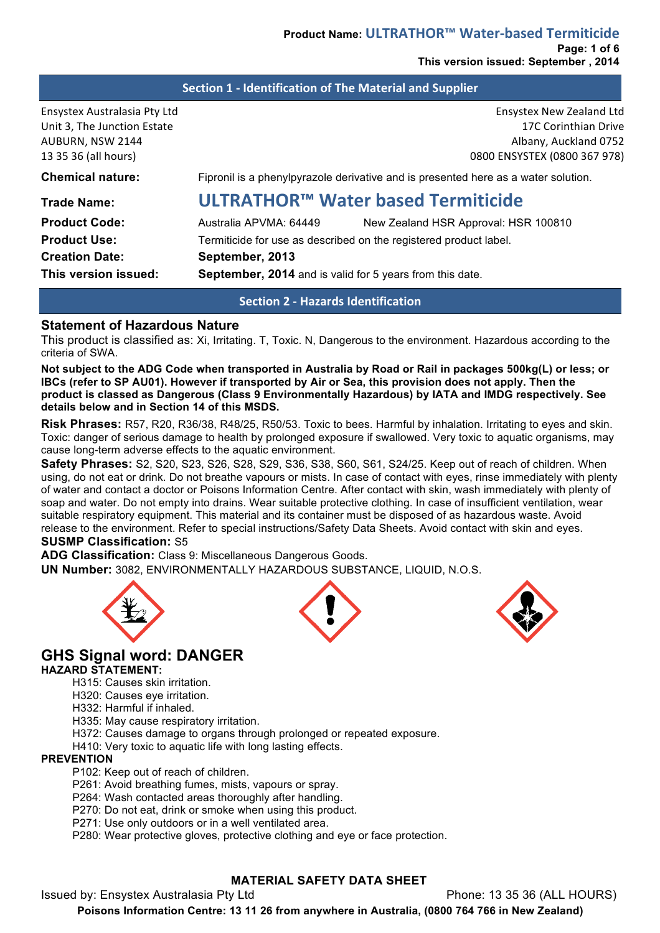**This version issued: September , 2014**

#### **Section 1 - Identification of The Material and Supplier**

| Ensystex Australasia Pty Ltd<br>Unit 3, The Junction Estate<br>AUBURN, NSW 2144<br>13 35 36 (all hours) |                                                                                    | Ensystex New Zealand Ltd<br>17C Corinthian Drive<br>Albany, Auckland 0752<br>0800 ENSYSTEX (0800 367 978) |
|---------------------------------------------------------------------------------------------------------|------------------------------------------------------------------------------------|-----------------------------------------------------------------------------------------------------------|
| <b>Chemical nature:</b>                                                                                 | Fipronil is a phenylpyrazole derivative and is presented here as a water solution. |                                                                                                           |
| <b>Trade Name:</b>                                                                                      | ULTRATHOR™ Water based Termiticide                                                 |                                                                                                           |
| <b>Product Code:</b>                                                                                    | Australia APVMA: 64449                                                             | New Zealand HSR Approval: HSR 100810                                                                      |
| <b>Product Use:</b>                                                                                     | Termiticide for use as described on the registered product label.                  |                                                                                                           |
| <b>Creation Date:</b>                                                                                   | September, 2013                                                                    |                                                                                                           |
| This version issued:                                                                                    | <b>September, 2014</b> and is valid for 5 years from this date.                    |                                                                                                           |

#### **Section 2 - Hazards Identification**

#### **Statement of Hazardous Nature**

This product is classified as: Xi, Irritating. T, Toxic. N, Dangerous to the environment. Hazardous according to the criteria of SWA.

**Not subject to the ADG Code when transported in Australia by Road or Rail in packages 500kg(L) or less; or IBCs (refer to SP AU01). However if transported by Air or Sea, this provision does not apply. Then the product is classed as Dangerous (Class 9 Environmentally Hazardous) by IATA and IMDG respectively. See details below and in Section 14 of this MSDS.** 

**Risk Phrases:** R57, R20, R36/38, R48/25, R50/53. Toxic to bees. Harmful by inhalation. Irritating to eyes and skin. Toxic: danger of serious damage to health by prolonged exposure if swallowed. Very toxic to aquatic organisms, may cause long-term adverse effects to the aquatic environment.

**Safety Phrases:** S2, S20, S23, S26, S28, S29, S36, S38, S60, S61, S24/25. Keep out of reach of children. When using, do not eat or drink. Do not breathe vapours or mists. In case of contact with eyes, rinse immediately with plenty of water and contact a doctor or Poisons Information Centre. After contact with skin, wash immediately with plenty of soap and water. Do not empty into drains. Wear suitable protective clothing. In case of insufficient ventilation, wear suitable respiratory equipment. This material and its container must be disposed of as hazardous waste. Avoid release to the environment. Refer to special instructions/Safety Data Sheets. Avoid contact with skin and eyes.

#### **SUSMP Classification:** S5

**ADG Classification:** Class 9: Miscellaneous Dangerous Goods.

**UN Number:** 3082, ENVIRONMENTALLY HAZARDOUS SUBSTANCE, LIQUID, N.O.S.







# **GHS Signal word: DANGER**

#### **HAZARD STATEMENT:**

- H315: Causes skin irritation.
- H320: Causes eye irritation.
- H332: Harmful if inhaled.
- H335: May cause respiratory irritation.
- H372: Causes damage to organs through prolonged or repeated exposure.
- H410: Very toxic to aquatic life with long lasting effects.

# **PREVENTION**

- P102: Keep out of reach of children.
- P261: Avoid breathing fumes, mists, vapours or spray.
- P264: Wash contacted areas thoroughly after handling.
- P270: Do not eat, drink or smoke when using this product.
- P271: Use only outdoors or in a well ventilated area.

P280: Wear protective gloves, protective clothing and eye or face protection.

#### **MATERIAL SAFETY DATA SHEET**

Issued by: Ensystex Australasia Pty Ltd Phone: 13 35 36 (ALL HOURS)

**Poisons Information Centre: 13 11 26 from anywhere in Australia, (0800 764 766 in New Zealand)**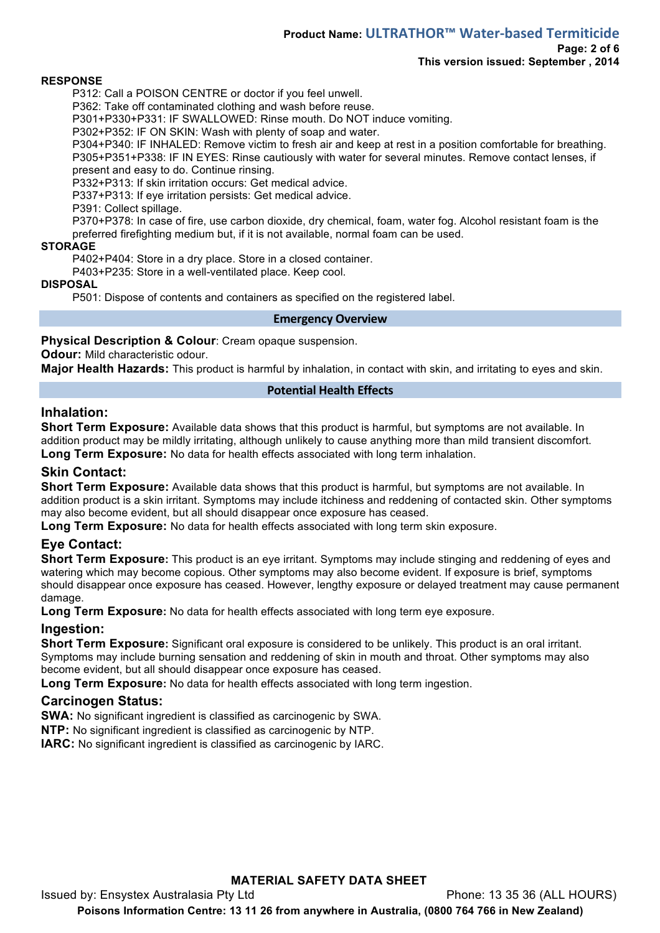# **Product Name: ULTRATHOR™ Water-based Termiticide**

# **Page: 2 of 6**

# **This version issued: September , 2014**

#### **RESPONSE**

P312: Call a POISON CENTRE or doctor if you feel unwell.

P362: Take off contaminated clothing and wash before reuse.

P301+P330+P331: IF SWALLOWED: Rinse mouth. Do NOT induce vomiting.

P302+P352: IF ON SKIN: Wash with plenty of soap and water.

P304+P340: IF INHALED: Remove victim to fresh air and keep at rest in a position comfortable for breathing. P305+P351+P338: IF IN EYES: Rinse cautiously with water for several minutes. Remove contact lenses, if present and easy to do. Continue rinsing.

P332+P313: If skin irritation occurs: Get medical advice.

P337+P313: If eye irritation persists: Get medical advice.

P391: Collect spillage.

P370+P378: In case of fire, use carbon dioxide, dry chemical, foam, water fog. Alcohol resistant foam is the preferred firefighting medium but, if it is not available, normal foam can be used.

#### **STORAGE**

P402+P404: Store in a dry place. Store in a closed container.

P403+P235: Store in a well-ventilated place. Keep cool.

#### **DISPOSAL**

P501: Dispose of contents and containers as specified on the registered label.

#### **Emergency Overview**

#### **Physical Description & Colour**: Cream opaque suspension.

**Odour:** Mild characteristic odour.

**Major Health Hazards:** This product is harmful by inhalation, in contact with skin, and irritating to eyes and skin.

#### **Potential Health Effects**

# **Inhalation:**

**Short Term Exposure:** Available data shows that this product is harmful, but symptoms are not available. In addition product may be mildly irritating, although unlikely to cause anything more than mild transient discomfort. **Long Term Exposure:** No data for health effects associated with long term inhalation.

# **Skin Contact:**

**Short Term Exposure:** Available data shows that this product is harmful, but symptoms are not available. In addition product is a skin irritant. Symptoms may include itchiness and reddening of contacted skin. Other symptoms may also become evident, but all should disappear once exposure has ceased.

**Long Term Exposure:** No data for health effects associated with long term skin exposure.

# **Eye Contact:**

**Short Term Exposure:** This product is an eye irritant. Symptoms may include stinging and reddening of eyes and watering which may become copious. Other symptoms may also become evident. If exposure is brief, symptoms should disappear once exposure has ceased. However, lengthy exposure or delayed treatment may cause permanent damage.

**Long Term Exposure:** No data for health effects associated with long term eye exposure.

# **Ingestion:**

**Short Term Exposure:** Significant oral exposure is considered to be unlikely. This product is an oral irritant. Symptoms may include burning sensation and reddening of skin in mouth and throat. Other symptoms may also become evident, but all should disappear once exposure has ceased.

**Long Term Exposure:** No data for health effects associated with long term ingestion.

# **Carcinogen Status:**

**SWA:** No significant ingredient is classified as carcinogenic by SWA.

**NTP:** No significant ingredient is classified as carcinogenic by NTP.

**IARC:** No significant ingredient is classified as carcinogenic by IARC.

# **MATERIAL SAFETY DATA SHEET** Issued by: Ensystex Australasia Pty Ltd Phone: 13 35 36 (ALL HOURS) **Poisons Information Centre: 13 11 26 from anywhere in Australia, (0800 764 766 in New Zealand)**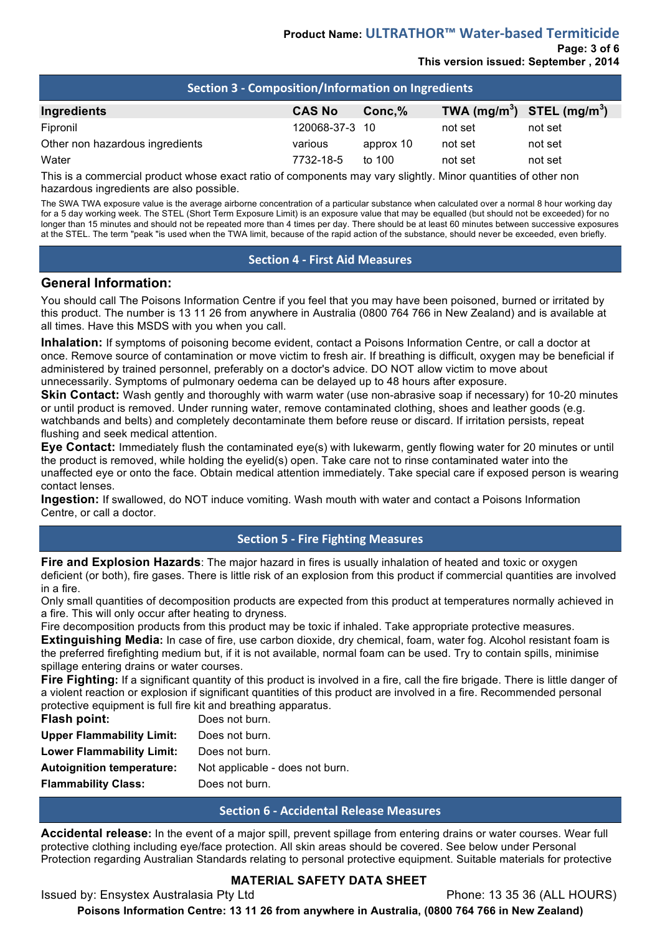# **Product Name: ULTRATHOR™ Water-based Termiticide**

**Page: 3 of 6**

# **This version issued: September , 2014**

| <b>Section 3 - Composition/Information on Ingredients</b> |                |           |                                |         |  |  |
|-----------------------------------------------------------|----------------|-----------|--------------------------------|---------|--|--|
| Ingredients                                               | <b>CAS No</b>  | $Conc.\%$ | TWA $(mg/m^3)$ STEL $(mg/m^3)$ |         |  |  |
| Fipronil                                                  | 120068-37-3 10 |           | not set                        | not set |  |  |
| Other non hazardous ingredients                           | various        | approx 10 | not set                        | not set |  |  |
| Water                                                     | 7732-18-5      | to $100$  | not set                        | not set |  |  |

This is a commercial product whose exact ratio of components may vary slightly. Minor quantities of other non hazardous ingredients are also possible.

The SWA TWA exposure value is the average airborne concentration of a particular substance when calculated over a normal 8 hour working day for a 5 day working week. The STEL (Short Term Exposure Limit) is an exposure value that may be equalled (but should not be exceeded) for no longer than 15 minutes and should not be repeated more than 4 times per day. There should be at least 60 minutes between successive exposures at the STEL. The term "peak "is used when the TWA limit, because of the rapid action of the substance, should never be exceeded, even briefly.

#### **Section 4 - First Aid Measures**

#### **General Information:**

You should call The Poisons Information Centre if you feel that you may have been poisoned, burned or irritated by this product. The number is 13 11 26 from anywhere in Australia (0800 764 766 in New Zealand) and is available at all times. Have this MSDS with you when you call.

**Inhalation:** If symptoms of poisoning become evident, contact a Poisons Information Centre, or call a doctor at once. Remove source of contamination or move victim to fresh air. If breathing is difficult, oxygen may be beneficial if administered by trained personnel, preferably on a doctor's advice. DO NOT allow victim to move about unnecessarily. Symptoms of pulmonary oedema can be delayed up to 48 hours after exposure.

**Skin Contact:** Wash gently and thoroughly with warm water (use non-abrasive soap if necessary) for 10-20 minutes or until product is removed. Under running water, remove contaminated clothing, shoes and leather goods (e.g. watchbands and belts) and completely decontaminate them before reuse or discard. If irritation persists, repeat flushing and seek medical attention.

**Eye Contact:** Immediately flush the contaminated eye(s) with lukewarm, gently flowing water for 20 minutes or until the product is removed, while holding the eyelid(s) open. Take care not to rinse contaminated water into the unaffected eye or onto the face. Obtain medical attention immediately. Take special care if exposed person is wearing contact lenses.

**Ingestion:** If swallowed, do NOT induce vomiting. Wash mouth with water and contact a Poisons Information Centre, or call a doctor.

# **Section 5 - Fire Fighting Measures**

**Fire and Explosion Hazards**: The major hazard in fires is usually inhalation of heated and toxic or oxygen deficient (or both), fire gases. There is little risk of an explosion from this product if commercial quantities are involved in a fire.

Only small quantities of decomposition products are expected from this product at temperatures normally achieved in a fire. This will only occur after heating to dryness.

Fire decomposition products from this product may be toxic if inhaled. Take appropriate protective measures. **Extinguishing Media:** In case of fire, use carbon dioxide, dry chemical, foam, water fog. Alcohol resistant foam is the preferred firefighting medium but, if it is not available, normal foam can be used. Try to contain spills, minimise spillage entering drains or water courses.

**Fire Fighting:** If a significant quantity of this product is involved in a fire, call the fire brigade. There is little danger of a violent reaction or explosion if significant quantities of this product are involved in a fire. Recommended personal protective equipment is full fire kit and breathing apparatus.

| Flash point:                     | Does not burn.                  |
|----------------------------------|---------------------------------|
| <b>Upper Flammability Limit:</b> | Does not burn.                  |
| <b>Lower Flammability Limit:</b> | Does not burn.                  |
| <b>Autoignition temperature:</b> | Not applicable - does not burn. |
| <b>Flammability Class:</b>       | Does not burn.                  |

# **Section 6 - Accidental Release Measures**

**Accidental release:** In the event of a major spill, prevent spillage from entering drains or water courses. Wear full protective clothing including eye/face protection. All skin areas should be covered. See below under Personal Protection regarding Australian Standards relating to personal protective equipment. Suitable materials for protective

# **MATERIAL SAFETY DATA SHEET**

Issued by: Ensystex Australasia Pty Ltd Phone: 13 35 36 (ALL HOURS) **Poisons Information Centre: 13 11 26 from anywhere in Australia, (0800 764 766 in New Zealand)**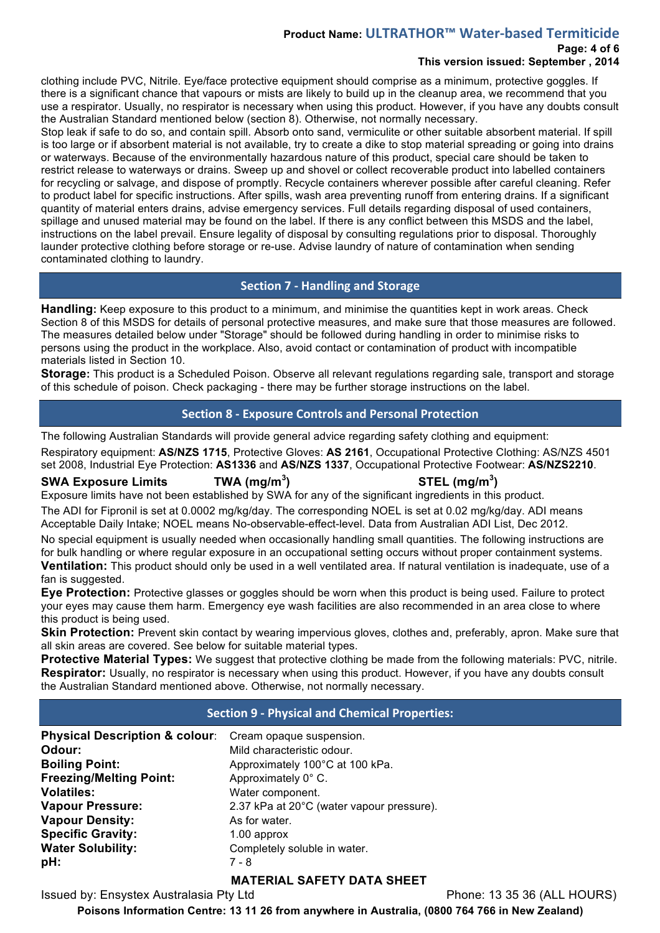# **Product Name: ULTRATHOR™ Water-based Termiticide**

# **Page: 4 of 6**

# **This version issued: September , 2014**

clothing include PVC, Nitrile. Eye/face protective equipment should comprise as a minimum, protective goggles. If there is a significant chance that vapours or mists are likely to build up in the cleanup area, we recommend that you use a respirator. Usually, no respirator is necessary when using this product. However, if you have any doubts consult the Australian Standard mentioned below (section 8). Otherwise, not normally necessary.

Stop leak if safe to do so, and contain spill. Absorb onto sand, vermiculite or other suitable absorbent material. If spill is too large or if absorbent material is not available, try to create a dike to stop material spreading or going into drains or waterways. Because of the environmentally hazardous nature of this product, special care should be taken to restrict release to waterways or drains. Sweep up and shovel or collect recoverable product into labelled containers for recycling or salvage, and dispose of promptly. Recycle containers wherever possible after careful cleaning. Refer to product label for specific instructions. After spills, wash area preventing runoff from entering drains. If a significant quantity of material enters drains, advise emergency services. Full details regarding disposal of used containers, spillage and unused material may be found on the label. If there is any conflict between this MSDS and the label, instructions on the label prevail. Ensure legality of disposal by consulting regulations prior to disposal. Thoroughly launder protective clothing before storage or re-use. Advise laundry of nature of contamination when sending contaminated clothing to laundry.

# **Section 7 - Handling and Storage**

**Handling:** Keep exposure to this product to a minimum, and minimise the quantities kept in work areas. Check Section 8 of this MSDS for details of personal protective measures, and make sure that those measures are followed. The measures detailed below under "Storage" should be followed during handling in order to minimise risks to persons using the product in the workplace. Also, avoid contact or contamination of product with incompatible materials listed in Section 10.

**Storage:** This product is a Scheduled Poison. Observe all relevant regulations regarding sale, transport and storage of this schedule of poison. Check packaging - there may be further storage instructions on the label.

# **Section 8 - Exposure Controls and Personal Protection**

The following Australian Standards will provide general advice regarding safety clothing and equipment:

Respiratory equipment: **AS/NZS 1715**, Protective Gloves: **AS 2161**, Occupational Protective Clothing: AS/NZS 4501 set 2008, Industrial Eye Protection: **AS1336** and **AS/NZS 1337**, Occupational Protective Footwear: **AS/NZS2210**.

# **SWA Exposure Limits TWA (mg/m<sup>3</sup>**

**) STEL (mg/m<sup>3</sup> )**

Exposure limits have not been established by SWA for any of the significant ingredients in this product.

The ADI for Fipronil is set at 0.0002 mg/kg/day. The corresponding NOEL is set at 0.02 mg/kg/day. ADI means Acceptable Daily Intake; NOEL means No-observable-effect-level. Data from Australian ADI List, Dec 2012.

No special equipment is usually needed when occasionally handling small quantities. The following instructions are for bulk handling or where regular exposure in an occupational setting occurs without proper containment systems. **Ventilation:** This product should only be used in a well ventilated area. If natural ventilation is inadequate, use of a fan is suggested.

**Eye Protection:** Protective glasses or goggles should be worn when this product is being used. Failure to protect your eyes may cause them harm. Emergency eye wash facilities are also recommended in an area close to where this product is being used.

**Skin Protection:** Prevent skin contact by wearing impervious gloves, clothes and, preferably, apron. Make sure that all skin areas are covered. See below for suitable material types.

**Protective Material Types:** We suggest that protective clothing be made from the following materials: PVC, nitrile. **Respirator:** Usually, no respirator is necessary when using this product. However, if you have any doubts consult the Australian Standard mentioned above. Otherwise, not normally necessary.

# **Section 9 - Physical and Chemical Properties:**

| <b>Physical Description &amp; colour:</b> | Cream opaque suspension.                  |
|-------------------------------------------|-------------------------------------------|
| Odour:                                    | Mild characteristic odour.                |
| <b>Boiling Point:</b>                     | Approximately 100°C at 100 kPa.           |
| <b>Freezing/Melting Point:</b>            | Approximately 0° C.                       |
| <b>Volatiles:</b>                         | Water component.                          |
| <b>Vapour Pressure:</b>                   | 2.37 kPa at 20°C (water vapour pressure). |
| <b>Vapour Density:</b>                    | As for water.                             |
| <b>Specific Gravity:</b>                  | 1.00 approx                               |
| <b>Water Solubility:</b>                  | Completely soluble in water.              |
| pH:                                       | 7 - 8                                     |

# **MATERIAL SAFETY DATA SHEET**

Issued by: Ensystex Australasia Pty Ltd Phone: 13 35 36 (ALL HOURS)

**Poisons Information Centre: 13 11 26 from anywhere in Australia, (0800 764 766 in New Zealand)**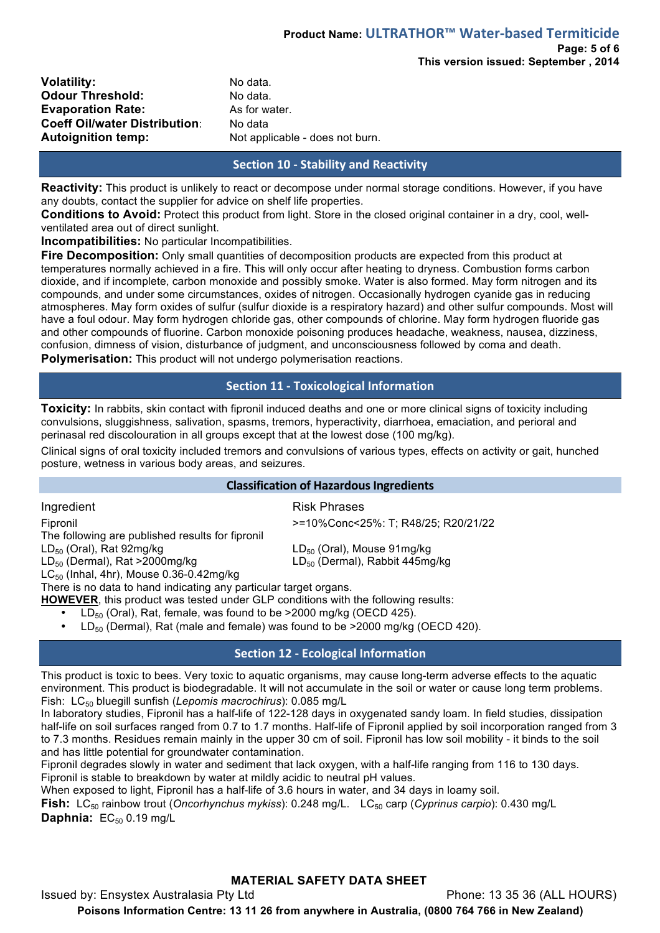| <b>Volatility:</b>                   |
|--------------------------------------|
| <b>Odour Threshold:</b>              |
| <b>Evaporation Rate:</b>             |
| <b>Coeff Oil/water Distribution:</b> |
| <b>Autoignition temp:</b>            |

**Volatility:** No data. No data. As for water. **No data** Not applicable - does not burn.

# **Section 10 - Stability and Reactivity**

**Reactivity:** This product is unlikely to react or decompose under normal storage conditions. However, if you have any doubts, contact the supplier for advice on shelf life properties.

**Conditions to Avoid:** Protect this product from light. Store in the closed original container in a dry, cool, wellventilated area out of direct sunlight.

**Incompatibilities:** No particular Incompatibilities.

**Fire Decomposition:** Only small quantities of decomposition products are expected from this product at temperatures normally achieved in a fire. This will only occur after heating to dryness. Combustion forms carbon dioxide, and if incomplete, carbon monoxide and possibly smoke. Water is also formed. May form nitrogen and its compounds, and under some circumstances, oxides of nitrogen. Occasionally hydrogen cyanide gas in reducing atmospheres. May form oxides of sulfur (sulfur dioxide is a respiratory hazard) and other sulfur compounds. Most will have a foul odour. May form hydrogen chloride gas, other compounds of chlorine. May form hydrogen fluoride gas and other compounds of fluorine. Carbon monoxide poisoning produces headache, weakness, nausea, dizziness, confusion, dimness of vision, disturbance of judgment, and unconsciousness followed by coma and death. **Polymerisation:** This product will not undergo polymerisation reactions.

# **Section 11 - Toxicological Information**

**Toxicity:** In rabbits, skin contact with fipronil induced deaths and one or more clinical signs of toxicity including convulsions, sluggishness, salivation, spasms, tremors, hyperactivity, diarrhoea, emaciation, and perioral and perinasal red discolouration in all groups except that at the lowest dose (100 mg/kg).

Clinical signs of oral toxicity included tremors and convulsions of various types, effects on activity or gait, hunched posture, wetness in various body areas, and seizures.

#### **Classification of Hazardous Ingredients**

Ingredient **Risk Phrases** Fipronil >=10%Conc<25%: T; R48/25; R20/21/22 The following are published results for fipronil  $LD_{50}$  (Oral), Rat 92mg/kg LD<sub>50</sub> (Oral), Mouse 91mg/kg LD<sub>50</sub> (Dermal), Rat >2000mg/kg LD<sub>50</sub> (Dermal), Rabbit 445mg/kg  $LC_{50}$  (Inhal, 4hr), Mouse 0.36-0.42mg/kg

There is no data to hand indicating any particular target organs.

**HOWEVER**, this product was tested under GLP conditions with the following results:

- $LD_{50}$  (Oral), Rat, female, was found to be  $>2000$  mg/kg (OECD 425).
	- LD $_{50}$  (Dermal), Rat (male and female) was found to be  $>2000$  mg/kg (OECD 420).

# **Section 12 - Ecological Information**

This product is toxic to bees. Very toxic to aquatic organisms, may cause long-term adverse effects to the aquatic environment. This product is biodegradable. It will not accumulate in the soil or water or cause long term problems. Fish: LC50 bluegill sunfish (*Lepomis macrochirus*): 0.085 mg/L

In laboratory studies, Fipronil has a half-life of 122-128 days in oxygenated sandy loam. In field studies, dissipation half-life on soil surfaces ranged from 0.7 to 1.7 months. Half-life of Fipronil applied by soil incorporation ranged from 3 to 7.3 months. Residues remain mainly in the upper 30 cm of soil. Fipronil has low soil mobility - it binds to the soil and has little potential for groundwater contamination.

Fipronil degrades slowly in water and sediment that lack oxygen, with a half-life ranging from 116 to 130 days. Fipronil is stable to breakdown by water at mildly acidic to neutral pH values.

When exposed to light, Fipronil has a half-life of 3.6 hours in water, and 34 days in loamy soil.

**Fish:** LC<sub>50</sub> rainbow trout (*Oncorhynchus mykiss*): 0.248 mg/L. LC<sub>50</sub> carp (*Cyprinus carpio*): 0.430 mg/L **Daphnia:** EC<sub>50</sub> 0.19 mg/L

# **MATERIAL SAFETY DATA SHEET**

Issued by: Ensystex Australasia Pty Ltd Phone: 13 35 36 (ALL HOURS) **Poisons Information Centre: 13 11 26 from anywhere in Australia, (0800 764 766 in New Zealand)**